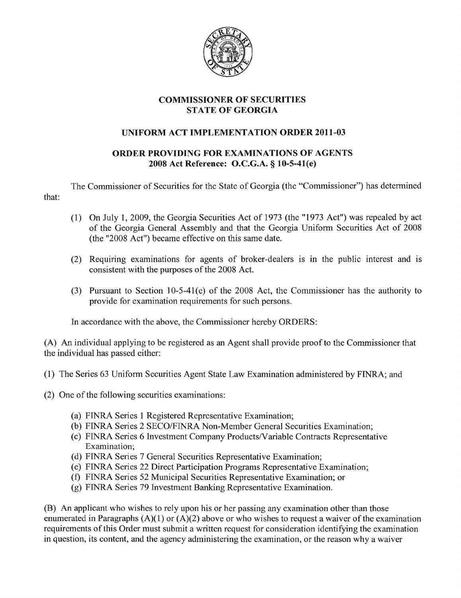

## **COMMISSIONER OF SECURITIES STATE OF GEORGIA**

## **UNIFORM ACT IMPLEMENTATION ORDER 2011-03**

## **ORDER PROVIDING FOR EXAMINATIONS OF AGENTS 2008 Act Reference: O.C.G.A. § 10-5-41(e)**

The Commissioner of Securities for the State of Georgia (the "Commissioner") has determined that:

- (1) On July **1,2009,** the Georgia Securities Act of 1973 (the "1973 Act") was repealed by act of the Georgia General Assembly and that the Georgia Uniform Securities Act of 2008 (the "2008 Act") became effective on this same date.
- (2) Requiring examinations for agents of broker-dealers is in the public interest and is consistent with the purposes of the 2008 Act.
- (3) Pursuant to Section 1O-5-41(e) of the 2008 Act, the Commissioner has the authority to provide for examination requirements for such persons.

In accordance with the above, the Commissioner hereby ORDERS:

(A) An individual applying to be registered as an Agent shall provide proof to the Commissioner that the individual has passed either:

- (1) The Series 63 Uniform Securities Agent State Law Examination administered by FINRA; and
- (2) One of the following securities examinations:
	- (a) FINRA Series 1 Registered Representative Examination;
	- (b) FINRA Series 2 SECO/FINRA Non-Member General Securities Examination;
	- (c) FINRA Series 6 Investment Company Products/Variable Contracts Representative Examination;
	- (d) FINRA Series 7 General Securities Representative Examination;
	- (e) FINRA Series 22 Direct Participation Programs Representative Examination;
	- (f) FINRA Series 52 Municipal Securities Representative Examination; or
	- (g) FINRA Series 79 Investment Banking Representative Examination.

(B) An applicant who wishes to rely upon his or her passing any examination other than those enumerated in Paragraphs  $(A)(1)$  or  $(A)(2)$  above or who wishes to request a waiver of the examination requirements of this Order must submit a written request for consideration identifying the examination in question, its content, and the agency administering the examination, or the reason why a waiver